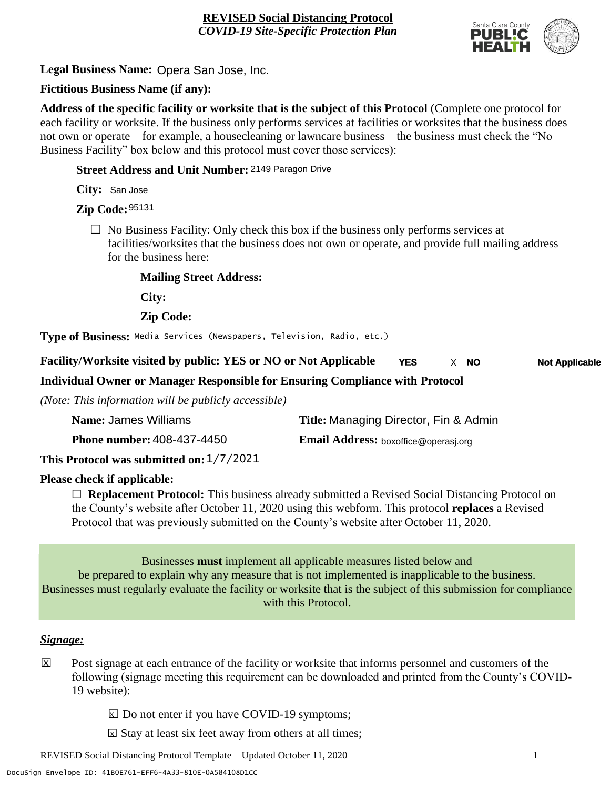

**Legal Business Name:** Opera San Jose, Inc.

## **Fictitious Business Name (if any):**

**Address of the specific facility or worksite that is the subject of this Protocol** (Complete one protocol for each facility or worksite. If the business only performs services at facilities or worksites that the business does not own or operate—for example, a housecleaning or lawncare business—the business must check the "No Business Facility" box below and this protocol must cover those services):

**Street Address and Unit Number:** 2149 Paragon Drive

**City:** San Jose

**Zip Code:** 95131

 $\Box$  No Business Facility: Only check this box if the business only performs services at facilities/worksites that the business does not own or operate, and provide full mailing address for the business here:

**Mailing Street Address:**

**City:**

**Zip Code:**

**Type of Business:** Media Services (Newspapers, Television, Radio, etc.)

#### **Facility/Worksite visited by public: YES or NO or Not Applicable NO** X **YES**  $\times$  **NO Not Applicable**

## **Individual Owner or Manager Responsible for Ensuring Compliance with Protocol**

*(Note: This information will be publicly accessible)*

| Name: James Williams              | Title: Managing Director, Fin & Admin       |
|-----------------------------------|---------------------------------------------|
| <b>Phone number: 408-437-4450</b> | <b>Email Address:</b> boxoffice@operasj.org |
|                                   |                                             |

**This Protocol was submitted on:** 1/7/2021

## **Please check if applicable:**

☐ **Replacement Protocol:** This business already submitted a Revised Social Distancing Protocol on the County's website after October 11, 2020 using this webform. This protocol **replaces** a Revised Protocol that was previously submitted on the County's website after October 11, 2020.

Businesses **must** implement all applicable measures listed below and be prepared to explain why any measure that is not implemented is inapplicable to the business. Businesses must regularly evaluate the facility or worksite that is the subject of this submission for compliance with this Protocol.

## *Signage:*

- Post signage at each entrance of the facility or worksite that informs personnel and customers of the following (signage meeting this requirement can be downloaded and printed from the County's COVID-19 website):  $|\overline{x}|$ 
	- $\boxed{\times}$  Do not enter if you have COVID-19 symptoms;
	- $\boxtimes$  Stay at least six feet away from others at all times;

REVISED Social Distancing Protocol Template – Updated October 11, 2020 1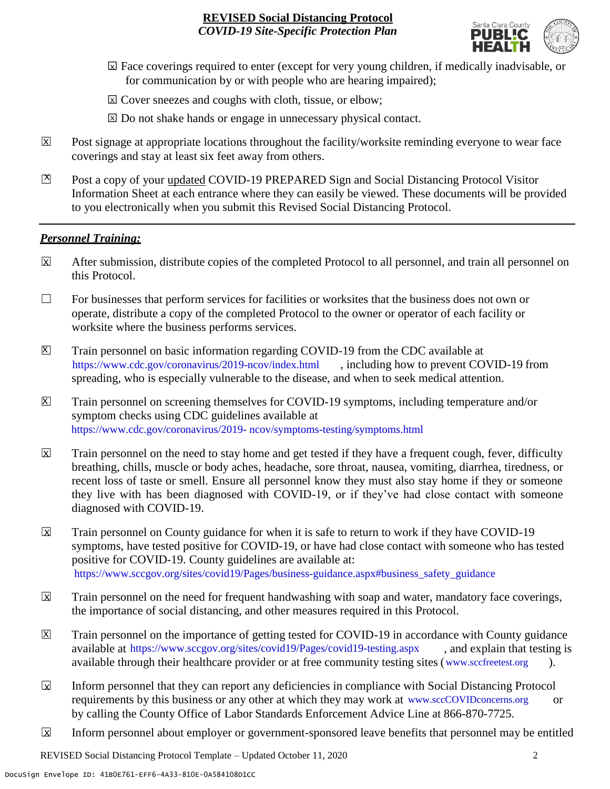

- ☐ Face coverings required to enter (except for very young children, if medically inadvisable, or X for communication by or with people who are hearing impaired);
- ⊠ Cover sneezes and coughs with cloth, tissue, or elbow;
- ⊠ Do not shake hands or engage in unnecessary physical contact.
- Post signage at appropriate locations throughout the facility/worksite reminding everyone to wear face coverings and stay at least six feet away from others. X
- Post a copy of your updated COVID-19 PREPARED Sign and Social Distancing Protocol Visitor Information Sheet at each entrance where they can easily be viewed. These documents will be provided to you electronically when you submit this Revised Social Distancing Protocol.  $\mathbb{Z}$

#### *Personnel Training:*

- After submission, distribute copies of the completed Protocol to all personnel, and train all personnel on this Protocol.  $\mathbf x$
- $\Box$  For businesses that perform services for facilities or worksites that the business does not own or operate, distribute a copy of the completed Protocol to the owner or operator of each facility or worksite where the business performs services.
- Train personnel on basic information regarding COVID-19 from the CDC available at [https://www.cdc.gov/coronavirus/2019-ncov/index.html,](https://www.cdc.gov/coronavirus/2019-ncov/index.html) including how to prevent COVID-19 from spreading, who is especially vulnerable to the disease, and when to seek medical attention.  $\mathsf{X}$
- Train personnel on screening themselves for COVID-19 symptoms, including temperature and/or symptom checks using CDC guidelines available at [https://www.cdc.gov/coronavirus/2019-](https://www.cdc.gov/coronavirus/2019-ncov/symptoms-testing/symptoms.html) [ncov/symptoms-testing/symptoms.html.](https://www.cdc.gov/coronavirus/2019-ncov/symptoms-testing/symptoms.html) https://www.cdc.gov/coronavirus/2019- ncov/symptoms-testing/symptoms.html  $|\mathsf{X}|$
- Train personnel on the need to stay home and get tested if they have a frequent cough, fever, difficulty breathing, chills, muscle or body aches, headache, sore throat, nausea, vomiting, diarrhea, tiredness, or recent loss of taste or smell. Ensure all personnel know they must also stay home if they or someone they live with has been diagnosed with COVID-19, or if they've had close contact with someone diagnosed with COVID-19.  $\overline{\mathsf{x}}$
- Train personnel on County guidance for when it is safe to return to work if they have COVID-19 symptoms, have tested positive for COVID-19, or have had close contact with someone who has tested positive for COVID-19. County guidelines are available at: [https://www.sccgov.org/sites/covid19/Pages/business-guidance.aspx#business\\_safety\\_guidance.](https://www.sccgov.org/sites/covid19/Pages/business-guidance.aspx#business_safety_guidance.) https://www.sccgov.org/sites/covid19/Pages/business-guidance.aspx#business\_safety\_guidance  $\overline{\mathbf{x}}$
- Train personnel on the need for frequent handwashing with soap and water, mandatory face coverings, the importance of social distancing, and other measures required in this Protocol.  $\overline{\mathsf{x}}$
- Train personnel on the importance of getting tested for COVID-19 in accordance with County guidance available at [https://www.sccgov.org/sites/covid19/Pages/covid19-testing.aspx,](https://www.sccgov.org/sites/covid19/Pages/covid19-testing.aspx) and explain that testing is available through their healthcare provider or at free community testing sites [\(www.sccfreetest.org](http://www.sccfreetest.org/) ).  $\vert X \vert$
- Inform personnel that they can report any deficiencies in compliance with Social Distancing Protocol requirements by this business or any other at which they may work at [www.sccCOVIDconcerns.org](http://www.scccovidconcerns.org/) or by calling the County Office of Labor Standards Enforcement Advice Line at 866-870-7725.  $\overline{\mathbf{x}}$
- Inform personnel about employer or government-sponsored leave benefits that personnel may be entitled  $\boxtimes$

REVISED Social Distancing Protocol Template – Updated October 11, 2020 2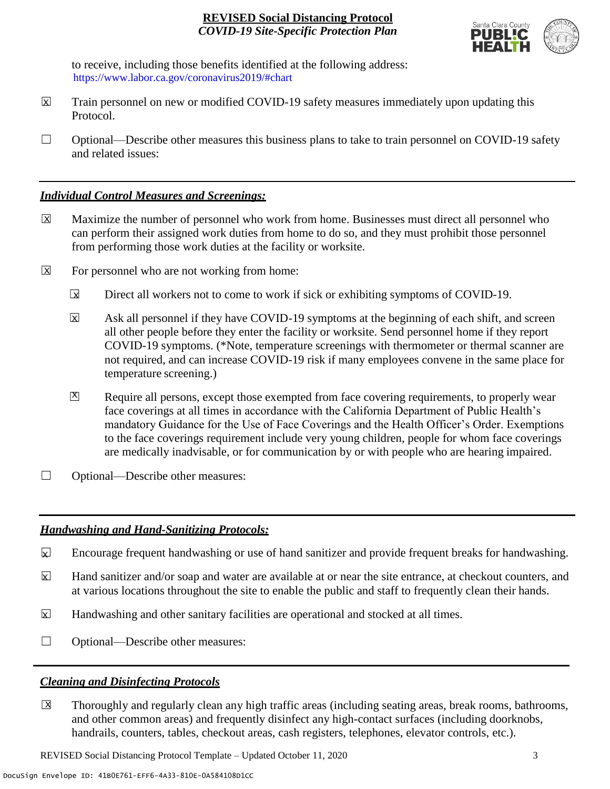

to receive, including those benefits identified at the following address: [https://www.labor.ca.gov/coronavirus2019/#chart.](https://www.labor.ca.gov/coronavirus2019/#chart) https://www.labor.ca.gov/coronavirus2019/#chart

- Train personnel on new or modified COVID-19 safety measures immediately upon updating this Protocol.  $\boxtimes$
- $\Box$  Optional—Describe other measures this business plans to take to train personnel on COVID-19 safety and related issues:

## *Individual Control Measures and Screenings:*

- Maximize the number of personnel who work from home. Businesses must direct all personnel who can perform their assigned work duties from home to do so, and they must prohibit those personnel from performing those work duties at the facility or worksite.  $|\overline{X}|$
- For personnel who are not working from home:  $\boxtimes$ 
	- Direct all workers not to come to work if sick or exhibiting symptoms of COVID-19.  $\overline{\mathbf{x}}$
	- Ask all personnel if they have COVID-19 symptoms at the beginning of each shift, and screen all other people before they enter the facility or worksite. Send personnel home if they report COVID-19 symptoms. (\*Note, temperature screenings with thermometer or thermal scanner are not required, and can increase COVID-19 risk if many employees convene in the same place for temperature screening.) X
	- Require all persons, except those exempted from face covering requirements, to properly wear face coverings at all times in accordance with the California Department of Public Health's mandatory Guidance for the Use of Face Coverings and the Health Officer's Order. Exemptions to the face coverings requirement include very young children, people for whom face coverings are medically inadvisable, or for communication by or with people who are hearing impaired.  $\mathbf{X}$
- □ Optional—Describe other measures:

## *Handwashing and Hand-Sanitizing Protocols:*

- Encourage frequent handwashing or use of hand sanitizer and provide frequent breaks for handwashing.  $\mathbf{x}$
- Hand sanitizer and/or soap and water are available at or near the site entrance, at checkout counters, and at various locations throughout the site to enable the public and staff to frequently clean their hands.  $\overline{\mathbf{x}}$
- Handwashing and other sanitary facilities are operational and stocked at all times.  $\mathbf{x}$
- ☐ Optional—Describe other measures:

## *Cleaning and Disinfecting Protocols*

☐ Thoroughly and regularly clean any high traffic areas (including seating areas, break rooms, bathrooms, and other common areas) and frequently disinfect any high-contact surfaces (including doorknobs, handrails, counters, tables, checkout areas, cash registers, telephones, elevator controls, etc.).  $\overline{\mathsf{x}}$ 

REVISED Social Distancing Protocol Template – Updated October 11, 2020 3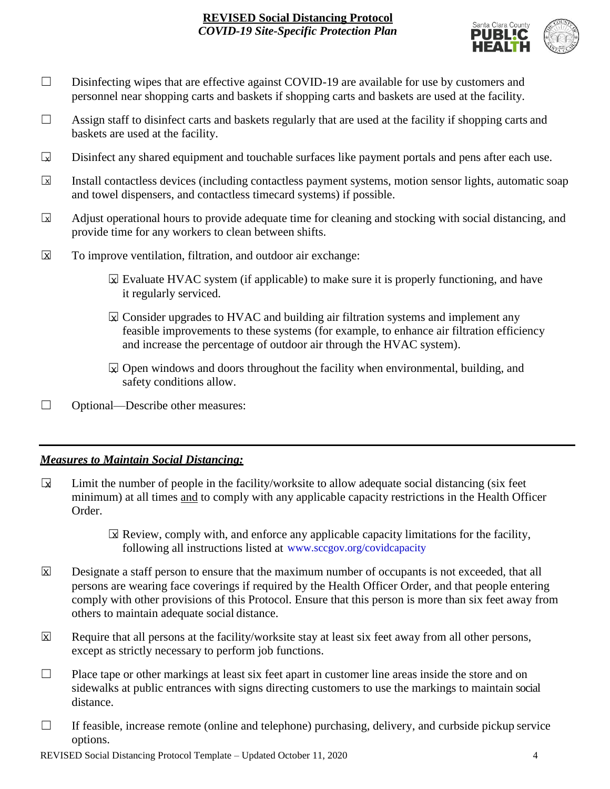

- □ Disinfecting wipes that are effective against COVID-19 are available for use by customers and personnel near shopping carts and baskets if shopping carts and baskets are used at the facility.
- $\Box$  Assign staff to disinfect carts and baskets regularly that are used at the facility if shopping carts and baskets are used at the facility.
- Disinfect any shared equipment and touchable surfaces like payment portals and pens after each use.  $\Box$
- Install contactless devices (including contactless payment systems, motion sensor lights, automatic soap and towel dispensers, and contactless timecard systems) if possible.  $\overline{\mathbf{x}}$
- Adjust operational hours to provide adequate time for cleaning and stocking with social distancing, and provide time for any workers to clean between shifts.  $\sqrt{X}$
- To improve ventilation, filtration, and outdoor air exchange:  $\overline{\mathsf{x}}$ 
	- $\boxtimes$  Evaluate HVAC system (if applicable) to make sure it is properly functioning, and have it regularly serviced.
	- $\boxtimes$  Consider upgrades to HVAC and building air filtration systems and implement any feasible improvements to these systems (for example, to enhance air filtration efficiency and increase the percentage of outdoor air through the HVAC system).
	- $\boxtimes$  Open windows and doors throughout the facility when environmental, building, and safety conditions allow.
- ☐ Optional—Describe other measures:

## *Measures to Maintain Social Distancing:*

- Limit the number of people in the facility/worksite to allow adequate social distancing (six feet minimum) at all times and to comply with any applicable capacity restrictions in the Health Officer Order.  $\mathbf{r}$ 
	- $\boxtimes$  Review, comply with, and enforce any applicable capacity limitations for the facility, following all instructions listed at www.sccgov.org/covidcapacity
- Designate a staff person to ensure that the maximum number of occupants is not exceeded, that all persons are wearing face coverings if required by the Health Officer Order, and that people entering comply with other provisions of this Protocol. Ensure that this person is more than six feet away from others to maintain adequate social distance.  $\overline{\mathsf{x}}$
- Require that all persons at the facility/worksite stay at least six feet away from all other persons, except as strictly necessary to perform job functions. X
- $\Box$  Place tape or other markings at least six feet apart in customer line areas inside the store and on sidewalks at public entrances with signs directing customers to use the markings to maintain social distance.
- $\Box$  If feasible, increase remote (online and telephone) purchasing, delivery, and curbside pickup service options.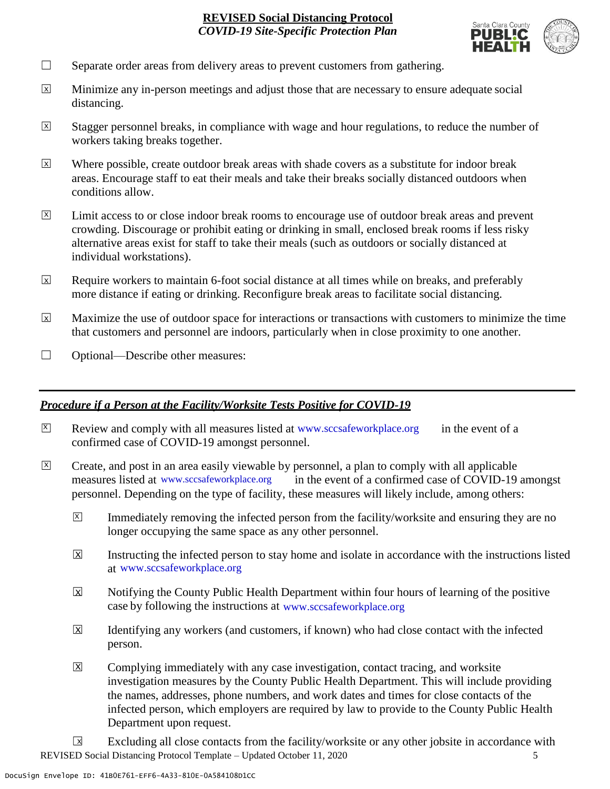

- $\Box$  Separate order areas from delivery areas to prevent customers from gathering.
- Minimize any in-person meetings and adjust those that are necessary to ensure adequate social distancing.  $\overline{x}$
- Stagger personnel breaks, in compliance with wage and hour regulations, to reduce the number of workers taking breaks together.  $\overline{x}$
- Where possible, create outdoor break areas with shade covers as a substitute for indoor break areas. Encourage staff to eat their meals and take their breaks socially distanced outdoors when conditions allow. X
- Limit access to or close indoor break rooms to encourage use of outdoor break areas and prevent crowding. Discourage or prohibit eating or drinking in small, enclosed break rooms if less risky alternative areas exist for staff to take their meals (such as outdoors or socially distanced at individual workstations).  $\overline{X}$
- Require workers to maintain 6-foot social distance at all times while on breaks, and preferably more distance if eating or drinking. Reconfigure break areas to facilitate social distancing. X
- Maximize the use of outdoor space for interactions or transactions with customers to minimize the time that customers and personnel are indoors, particularly when in close proximity to one another. X
- □ Optional—Describe other measures:

## *Procedure if a Person at the Facility/Worksite Tests Positive for COVID-19*

- $\boxtimes$  Review and comply with all measures listed at [www.sccsafeworkplace.org](http://www.sccsafeworkplace.org/) in the event of a confirmed case of COVID-19 amongst personnel. X
- ☐ Create, and post in an area easily viewable by personnel, a plan to comply with all applicable in the event of a confirmed case of COVID-19 amongst personnel. Depending on the type of facility, these measures will likely include, among others:  $\overline{X}$ measures listed at www.sccsafeworkplace.org
	- Immediately removing the infected person from the facility/worksite and ensuring they are no longer occupying the same space as any other personnel.  $\vert X \vert$
	- Instructing the infected person to stay home and isolate in accordance with the instructions listed at [www.sccsafeworkplace.org.](file:///C:/Users/raphael.rajendra/AppData/Local/Microsoft/Windows/INetCache/Content.Outlook/PTLHNOTE/www.sccsafeworkplace.org) www.sccsafeworkplace.org X
	- Notifying the County Public Health Department within four hours of learning of the positive case by following the instructions at www.sccsafeworkplace.org  $\overline{X}$
	- Identifying any workers (and customers, if known) who had close contact with the infected person.  $\overline{\mathsf{x}}$
	- Complying immediately with any case investigation, contact tracing, and worksite investigation measures by the County Public Health Department. This will include providing the names, addresses, phone numbers, and work dates and times for close contacts of the infected person, which employers are required by law to provide to the County Public Health Department upon request.  $\boxed{\mathsf{X}}$

REVISED Social Distancing Protocol Template – Updated October 11, 2020 5 Excluding all close contacts from the facility/worksite or any other jobsite in accordance with  $\sqrt{X}$